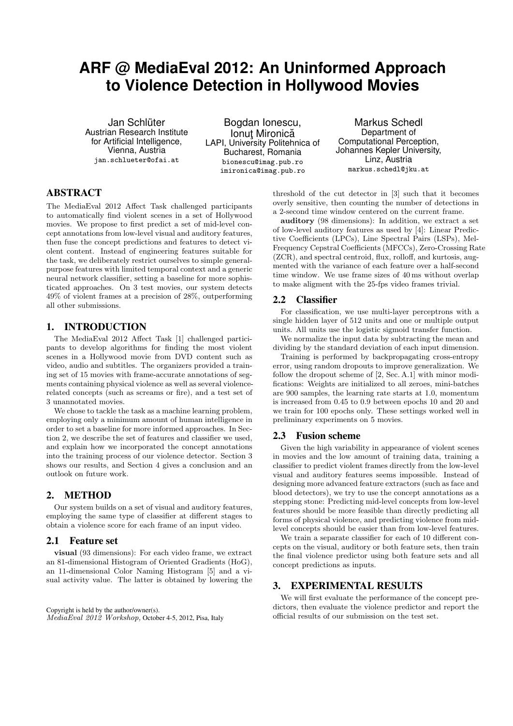# **ARF @ MediaEval 2012: An Uninformed Approach to Violence Detection in Hollywood Movies**

Jan Schlüter Austrian Research Institute for Artificial Intelligence, Vienna, Austria <jan.schlueter@ofai.at>

Bogdan Ionescu, Ionuț Mironică LAPI, University Politehnica of Bucharest, Romania <bionescu@imag.pub.ro> <imironica@imag.pub.ro>

Markus Schedl Department of Computational Perception, Johannes Kepler University, Linz, Austria <markus.schedl@jku.at>

# ABSTRACT

The MediaEval 2012 Affect Task challenged participants to automatically find violent scenes in a set of Hollywood movies. We propose to first predict a set of mid-level concept annotations from low-level visual and auditory features, then fuse the concept predictions and features to detect violent content. Instead of engineering features suitable for the task, we deliberately restrict ourselves to simple generalpurpose features with limited temporal context and a generic neural network classifier, setting a baseline for more sophisticated approaches. On 3 test movies, our system detects 49% of violent frames at a precision of 28%, outperforming all other submissions.

# 1. INTRODUCTION

The MediaEval 2012 Affect Task [\[1\]](#page-1-0) challenged participants to develop algorithms for finding the most violent scenes in a Hollywood movie from DVD content such as video, audio and subtitles. The organizers provided a training set of 15 movies with frame-accurate annotations of segments containing physical violence as well as several violencerelated concepts (such as screams or fire), and a test set of 3 unannotated movies.

We chose to tackle the task as a machine learning problem, employing only a minimum amount of human intelligence in order to set a baseline for more informed approaches. In Section [2,](#page-0-0) we describe the set of features and classifier we used, and explain how we incorporated the concept annotations into the training process of our violence detector. Section [3](#page-0-1) shows our results, and Section [4](#page-1-1) gives a conclusion and an outlook on future work.

## <span id="page-0-0"></span>2. METHOD

Our system builds on a set of visual and auditory features, employing the same type of classifier at different stages to obtain a violence score for each frame of an input video.

## 2.1 Feature set

visual (93 dimensions): For each video frame, we extract an 81-dimensional Histogram of Oriented Gradients (HoG), an 11-dimensional Color Naming Histogram [\[5\]](#page-1-2) and a visual activity value. The latter is obtained by lowering the

Copyright is held by the author/owner(s). MediaEval 2012 Workshop, October 4-5, 2012, Pisa, Italy

threshold of the cut detector in [\[3\]](#page-1-3) such that it becomes overly sensitive, then counting the number of detections in a 2-second time window centered on the current frame.

auditory (98 dimensions): In addition, we extract a set of low-level auditory features as used by [\[4\]](#page-1-4): Linear Predictive Coefficients (LPCs), Line Spectral Pairs (LSPs), Mel-Frequency Cepstral Coefficients (MFCCs), Zero-Crossing Rate (ZCR), and spectral centroid, flux, rolloff, and kurtosis, augmented with the variance of each feature over a half-second time window. We use frame sizes of 40 ms without overlap to make aligment with the 25-fps video frames trivial.

# 2.2 Classifier

For classification, we use multi-layer perceptrons with a single hidden layer of 512 units and one or multiple output units. All units use the logistic sigmoid transfer function.

We normalize the input data by subtracting the mean and dividing by the standard deviation of each input dimension.

Training is performed by backpropagating cross-entropy error, using random dropouts to improve generalization. We follow the dropout scheme of [\[2,](#page-1-5) Sec. A.1] with minor modifications: Weights are initialized to all zeroes, mini-batches are 900 samples, the learning rate starts at 1.0, momentum is increased from 0.45 to 0.9 between epochs 10 and 20 and we train for 100 epochs only. These settings worked well in preliminary experiments on 5 movies.

#### 2.3 Fusion scheme

Given the high variability in appearance of violent scenes in movies and the low amount of training data, training a classifier to predict violent frames directly from the low-level visual and auditory features seems impossible. Instead of designing more advanced feature extractors (such as face and blood detectors), we try to use the concept annotations as a stepping stone: Predicting mid-level concepts from low-level features should be more feasible than directly predicting all forms of physical violence, and predicting violence from midlevel concepts should be easier than from low-level features.

We train a separate classifier for each of 10 different concepts on the visual, auditory or both feature sets, then train the final violence predictor using both feature sets and all concept predictions as inputs.

# <span id="page-0-1"></span>3. EXPERIMENTAL RESULTS

We will first evaluate the performance of the concept predictors, then evaluate the violence predictor and report the official results of our submission on the test set.